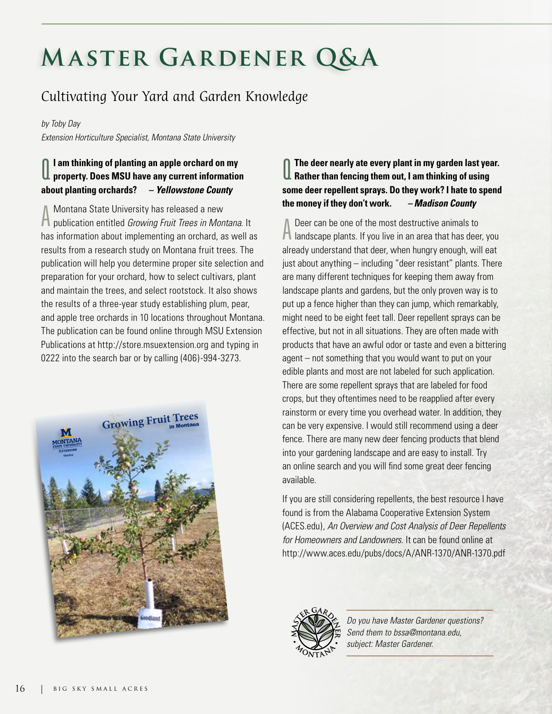# **Master Gardener Q&A**

## Cultivating Your Yard and Garden Knowledge

#### *by Toby Day*

*Extension Horticulture Specialist, Montana State University*

#### $\overline{\mathbf{0}}$ **I am thinking of planting an apple orchard on my property. Does MSU have any current information about planting orchards? –** *Yellowstone County*

A publication entitled *Growing Fruit Trees in Montana.* It Montana State University has released a new has information about implementing an orchard, as well as results from a research study on Montana fruit trees. The publication will help you determine proper site selection and preparation for your orchard, how to select cultivars, plant and maintain the trees, and select rootstock. It also shows the results of a three-year study establishing plum, pear, and apple tree orchards in 10 locations throughout Montana. The publication can be found online through MSU Extension Publications at http://store.msuextension.org and typing in 0222 into the search bar or by calling (406)-994-3273.



#### Q **The deer nearly ate every plant in my garden last year. Rather than fencing them out, I am thinking of using some deer repellent sprays. Do they work? I hate to spend the money if they don't work.** *– Madison County*

A Deer can be one of the most destructive animals to<br>A landscape plants. If you live in an area that has deer, you Deer can be one of the most destructive animals to already understand that deer, when hungry enough, will eat just about anything – including "deer resistant" plants. There are many different techniques for keeping them away from landscape plants and gardens, but the only proven way is to put up a fence higher than they can jump, which remarkably, might need to be eight feet tall. Deer repellent sprays can be effective, but not in all situations. They are often made with products that have an awful odor or taste and even a bittering agent – not something that you would want to put on your edible plants and most are not labeled for such application. There are some repellent sprays that are labeled for food crops, but they oftentimes need to be reapplied after every rainstorm or every time you overhead water. In addition, they can be very expensive. I would still recommend using a deer fence. There are many new deer fencing products that blend into your gardening landscape and are easy to install. Try an online search and you will find some great deer fencing available.

If you are still considering repellents, the best resource I have found is from the Alabama Cooperative Extension System (ACES.edu), *An Overview and Cost Analysis of Deer Repellents for Homeowners and Landowners*. It can be found online at http://www.aces.edu/pubs/docs/A/ANR-1370/ANR-1370.pdf



*Do you have Master Gardener questions? Send them to bssa@montana.edu, subject: Master Gardener.*